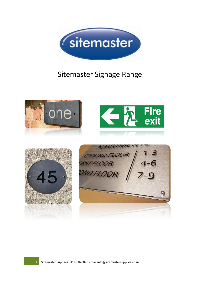

# Sitemaster Signage Range

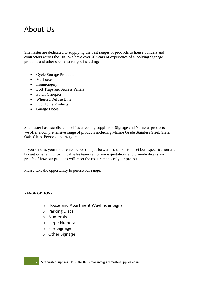## About Us

Sitemaster are dedicated to supplying the best ranges of products to house builders and contractors across the UK. We have over 20 years of experience of supplying Signage products and other specialist ranges including:

- Cycle Storage Products
- Mailboxes
- Ironmongery
- Loft Traps and Access Panels
- Porch Canopies
- Wheeled Refuse Bins
- Eco Home Products
- Garage Doors

Sitemaster has established itself as a leading supplier of Signage and Numeral products and we offer a comprehensive range of products including Marine Grade Stainless Steel, Slate, Oak, Glass, Perspex and Acrylic.

If you send us your requirements, we can put forward solutions to meet both specification and budget criteria. Our technical sales team can provide quotations and provide details and proofs of how our products will meet the requirements of your project.

Please take the opportunity to peruse our range.

#### **RANGE OPTIONS**

- o House and Apartment Wayfinder Signs
- o Parking Discs
- o Numerals
- o Large Numerals
- o Fire Signage
- o Other Signage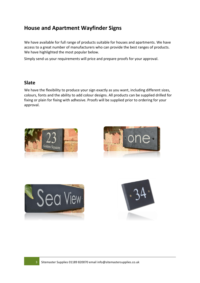### **House and Apartment Wayfinder Signs**

We have available for full range of products suitable for houses and apartments. We have access to a great number of manufacturers who can provide the best ranges of products. We have highlighted the most popular below.

Simply send us your requirements will price and prepare proofs for your approval.

#### **Slate**

We have the flexibility to produce your sign exactly as you want, including different sizes, colours, fonts and the ability to add colour designs. All products can be supplied drilled for fixing or plain for fixing with adhesive. Proofs will be supplied prior to ordering for your approval.







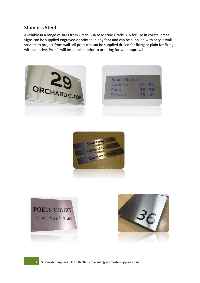#### **Stainless Steel**

Available in a range of sizes from Grade 304 to Marine Grade 316 for use in coastal areas. Signs can be supplied engraved or printed in any font and can be supplied with acrylic wall spacers to project from wall. All products can be supplied drilled for fixing or plain for fixing with adhesive. Proofs will be supplied prior to ordering for your approval







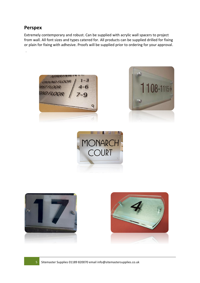#### **Perspex**

.

Extremely contemporary and robust. Can be supplied with acrylic wall spacers to project from wall. All font sizes and types catered for. All products can be supplied drilled for fixing or plain for fixing with adhesive. Proofs will be supplied prior to ordering for your approval.









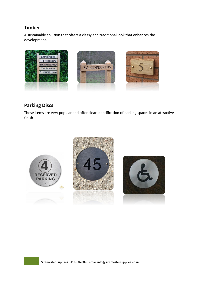#### **Timber**

A sustainable solution that offers a classy and traditional look that enhances the development.



#### **Parking Discs**

These items are very popular and offer clear identification of parking spaces in an attractive finish

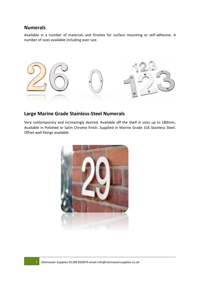#### **Numerals**

Available in a number of materials and finishes for surface mounting or self-adhesive. A number of sizes available including over size.



#### **Large Marine Grade Stainless-Steel Numerals**

Very contemporary and increasingly desired. Available off the shelf in sizes up to 180mm**.**  Available in Polished or Satin Chrome finish. Supplied in Marine Grade 316 Stainless Steel. Offset wall fixings available.

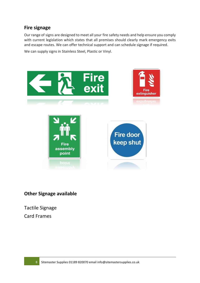#### **Fire signage**

Our range of signs are designed to meet all your fire safety needs and help ensure you comply with current legislation which states that all premises should clearly mark emergency exits and escape routes. We can offer technical support and can schedule signage if required.

We can supply signs in Stainless Steel, Plastic or Vinyl.



#### **Other Signage available**

Tactile Signage Card Frames